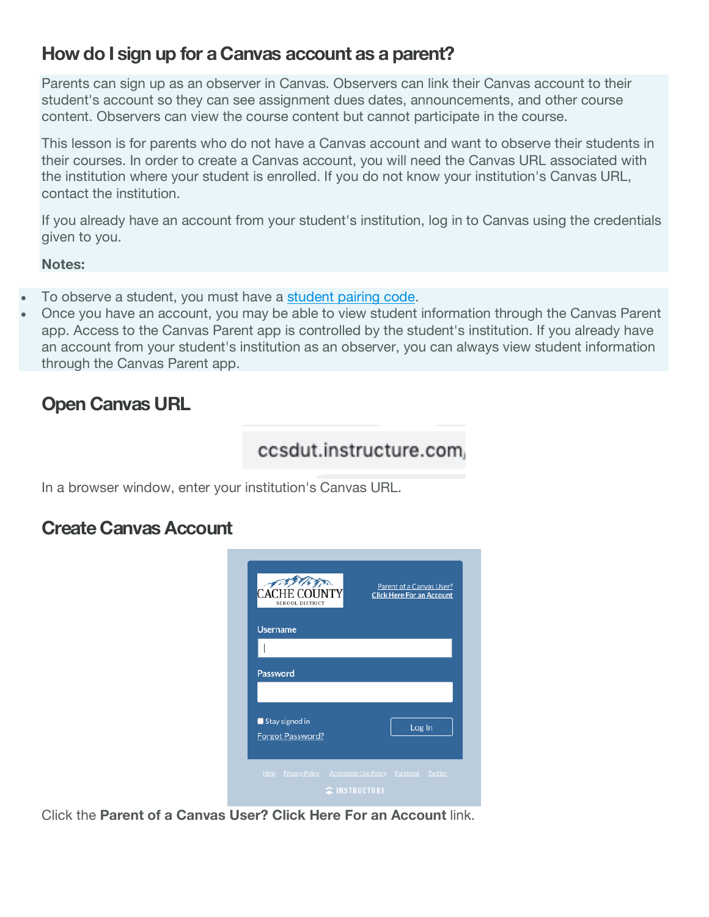#### **How do I sign up for a Canvas account as a parent?**

Parents can sign up as an observer in Canvas. Observers can link their Canvas account to their student's account so they can see assignment dues dates, announcements, and other course content. Observers can view the course content but cannot participate in the course.

This lesson is for parents who do not have a Canvas account and want to observe their students in their courses. In order to create a Canvas account, you will need the Canvas URL associated with the institution where your student is enrolled. If you do not know your institution's Canvas URL, contact the institution.

If you already have an account from your student's institution, log in to Canvas using the credentials given to you.

**Notes:**

- To observe a student, you must have a student pairing code.
- Once you have an account, you may be able to view student information through the Canvas Parent app. Access to the Canvas Parent app is controlled by the student's institution. If you already have an account from your student's institution as an observer, you can always view student information through the Canvas Parent app.

# **Open Canvas URL**

## ccsdut.instructure.com.

In a browser window, enter your institution's Canvas URL.

#### **Create Canvas Account**

| $*37$<br><b>SCHOOL DISTRICT</b>                            | Parent of a Canvas User?<br><b>Click Here For an Account</b> |
|------------------------------------------------------------|--------------------------------------------------------------|
| <b>Username</b>                                            |                                                              |
|                                                            |                                                              |
| <b>Password</b>                                            |                                                              |
|                                                            |                                                              |
| $\blacksquare$ Stay signed in                              | Log In                                                       |
| Forgot Password?                                           |                                                              |
|                                                            |                                                              |
| Help Privacy Policy Acceptable Use Policy Facebook Twitter | <b><i><u>CINSTRUCTURE</u></i></b>                            |

Click the **Parent of a Canvas User? Click Here For an Account** link.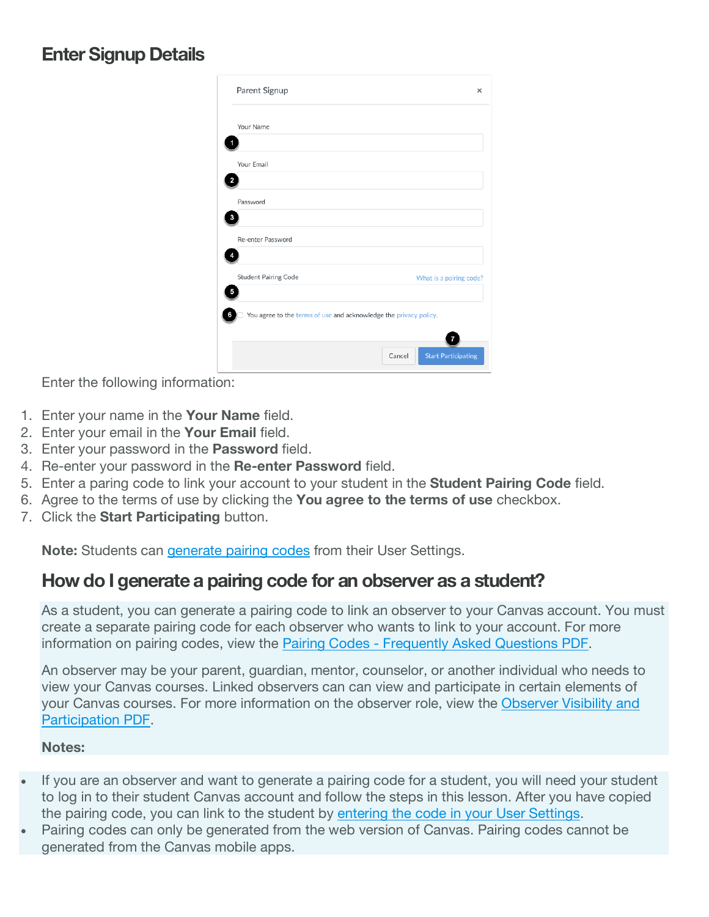#### **Enter Signup Details**

| Your Name                                                         |                         |
|-------------------------------------------------------------------|-------------------------|
|                                                                   |                         |
| Your Email                                                        |                         |
|                                                                   |                         |
| Password                                                          |                         |
|                                                                   |                         |
| Re-enter Password                                                 |                         |
| <b>Student Pairing Code</b>                                       | What is a pairing code? |
|                                                                   |                         |
| You agree to the terms of use and acknowledge the privacy policy. |                         |
|                                                                   |                         |

Enter the following information:

- 1. Enter your name in the **Your Name** field.
- 2. Enter your email in the **Your Email** field.
- 3. Enter your password in the **Password** field.
- 4. Re-enter your password in the **Re-enter Password** field.
- 5. Enter a paring code to link your account to your student in the **Student Pairing Code** field.
- 6. Agree to the terms of use by clicking the **You agree to the terms of use** checkbox.
- 7. Click the **Start Participating** button.

**Note:** Students can generate pairing codes from their User Settings.

#### **How do I generate a pairing code for an observer as a student?**

As a student, you can generate a pairing code to link an observer to your Canvas account. You must create a separate pairing code for each observer who wants to link to your account. For more information on pairing codes, view the Pairing Codes - Frequently Asked Questions PDF.

An observer may be your parent, guardian, mentor, counselor, or another individual who needs to view your Canvas courses. Linked observers can can view and participate in certain elements of your Canvas courses. For more information on the observer role, view the Observer Visibility and Participation PDF.

#### **Notes:**

- If you are an observer and want to generate a pairing code for a student, you will need your student to log in to their student Canvas account and follow the steps in this lesson. After you have copied the pairing code, you can link to the student by entering the code in your User Settings.
- Pairing codes can only be generated from the web version of Canvas. Pairing codes cannot be generated from the Canvas mobile apps.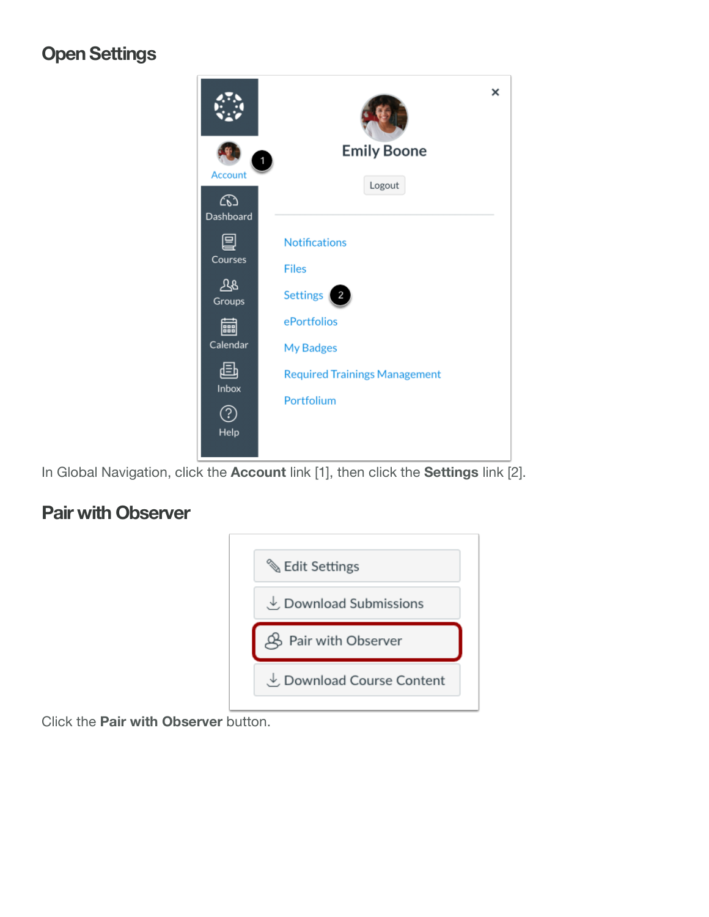## **Open Settings**



In Global Navigation, click the **Account** link [1], then click the **Settings** link [2].

## **Pair with Observer**



Click the **Pair with Observer** button.